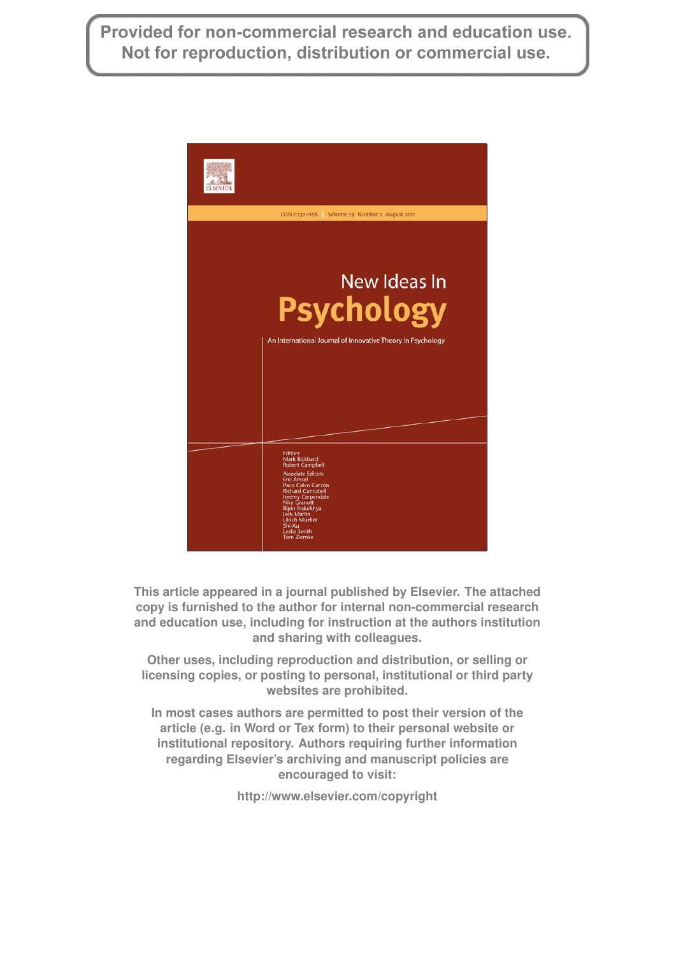... Provided for non-commercial research and education use. Not for reproduction, distribution or commercial use.



**This article appeared in a journal published by Elsevier. The attached copy is furnished to the author for internal non-commercial research and education use, including for instruction at the authors institution and sharing with colleagues.**

**Other uses, including reproduction and distribution, or selling or licensing copies, or posting to personal, institutional or third party websites are prohibited.**

**In most cases authors are permitted to post their version of the article (e.g. in Word or Tex form) to their personal website or institutional repository. Authors requiring further information regarding Elsevier's archiving and manuscript policies are encouraged to visit:**

**<http://www.elsevier.com/copyright>**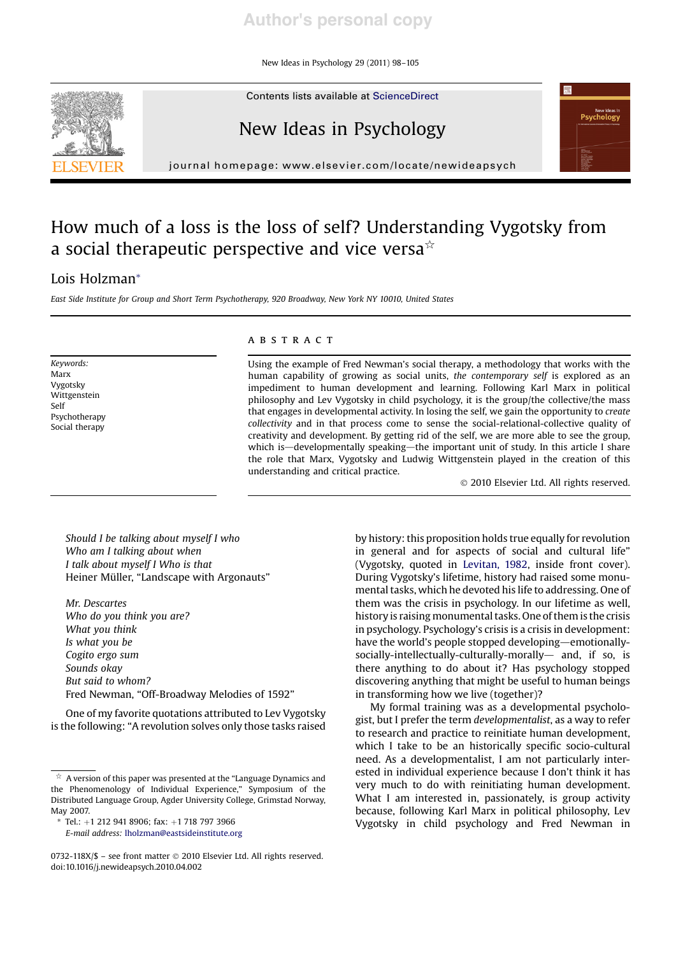New Ideas in Psychology 29 (2011) 98–105

Contents lists available at ScienceDirect

# New Ideas in Psychology

journal homepage: www.elsevier.com/locate/newideapsych

## How much of a loss is the loss of self? Understanding Vygotsky from a social therapeutic perspective and vice versa $\dot{\alpha}$

### Lois Holzman\*

East Side Institute for Group and Short Term Psychotherapy, 920 Broadway, New York NY 10010, United States

Keywords: Marx Vygotsky Wittgenstein Self Psychotherapy Social therapy

#### ABSTRACT

Using the example of Fred Newman's social therapy, a methodology that works with the human capability of growing as social units, the contemporary self is explored as an impediment to human development and learning. Following Karl Marx in political philosophy and Lev Vygotsky in child psychology, it is the group/the collective/the mass that engages in developmental activity. In losing the self, we gain the opportunity to create collectivity and in that process come to sense the social-relational-collective quality of creativity and development. By getting rid of the self, we are more able to see the group, which is—developmentally speaking—the important unit of study. In this article I share the role that Marx, Vygotsky and Ludwig Wittgenstein played in the creation of this understanding and critical practice.

 $\odot$  2010 Elsevier Ltd. All rights reserved.

Should I be talking about myself I who Who am I talking about when I talk about myself I Who is that Heiner Müller, "Landscape with Argonauts"

Mr. Descartes Who do you think you are? What you think Is what you be Cogito ergo sum Sounds okay But said to whom? Fred Newman, "Off-Broadway Melodies of 1592"

One of my favorite quotations attributed to Lev Vygotsky is the following: "A revolution solves only those tasks raised

E-mail address: lholzman@eastsideinstitute.org

by history: this proposition holds true equally for revolution in general and for aspects of social and cultural life" (Vygotsky, quoted in Levitan, 1982, inside front cover). During Vygotsky's lifetime, history had raised some monumental tasks, which he devoted his life to addressing. One of them was the crisis in psychology. In our lifetime as well, history is raising monumental tasks. One of them is the crisis in psychology. Psychology's crisis is a crisis in development: have the world's people stopped developing—emotionallysocially-intellectually-culturally-morally- $\qquad$  and, if so, is there anything to do about it? Has psychology stopped discovering anything that might be useful to human beings in transforming how we live (together)?

My formal training was as a developmental psychologist, but I prefer the term developmentalist, as a way to refer to research and practice to reinitiate human development, which I take to be an historically specific socio-cultural need. As a developmentalist, I am not particularly interested in individual experience because I don't think it has very much to do with reinitiating human development. What I am interested in, passionately, is group activity because, following Karl Marx in political philosophy, Lev Vygotsky in child psychology and Fred Newman in





 $\overrightarrow{x}$  A version of this paper was presented at the "Language Dynamics and the Phenomenology of Individual Experience," Symposium of the Distributed Language Group, Agder University College, Grimstad Norway, May 2007.

Tel.:  $+1$  212 941 8906; fax:  $+1$  718 797 3966

<sup>0732-118</sup>X/\$ - see front matter © 2010 Elsevier Ltd. All rights reserved. doi:10.1016/j.newideapsych.2010.04.002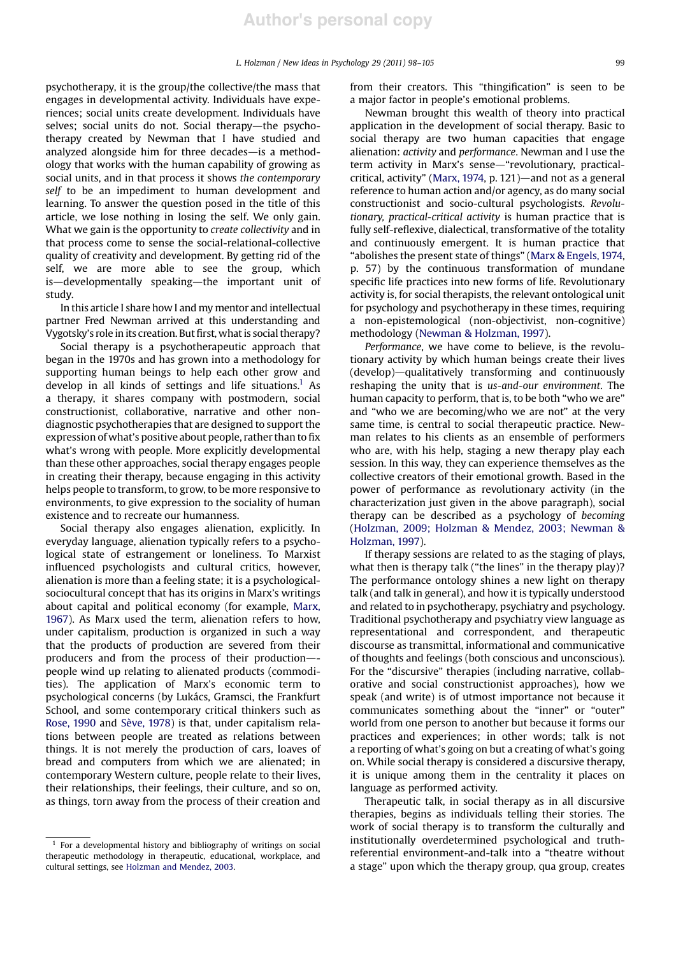psychotherapy, it is the group/the collective/the mass that engages in developmental activity. Individuals have experiences; social units create development. Individuals have selves; social units do not. Social therapy—the psychotherapy created by Newman that I have studied and analyzed alongside him for three decades-is a methodology that works with the human capability of growing as social units, and in that process it shows the contemporary self to be an impediment to human development and learning. To answer the question posed in the title of this article, we lose nothing in losing the self. We only gain. What we gain is the opportunity to create collectivity and in that process come to sense the social-relational-collective quality of creativity and development. By getting rid of the self, we are more able to see the group, which is-developmentally speaking-the important unit of study.

In this article I share how I and my mentor and intellectual partner Fred Newman arrived at this understanding and Vygotsky's role in its creation. But first, what is social therapy?

Social therapy is a psychotherapeutic approach that began in the 1970s and has grown into a methodology for supporting human beings to help each other grow and develop in all kinds of settings and life situations.<sup>1</sup> As a therapy, it shares company with postmodern, social constructionist, collaborative, narrative and other nondiagnostic psychotherapies that are designed to support the expression of what's positive about people, rather than to fix what's wrong with people. More explicitly developmental than these other approaches, social therapy engages people in creating their therapy, because engaging in this activity helps people to transform, to grow, to be more responsive to environments, to give expression to the sociality of human existence and to recreate our humanness.

Social therapy also engages alienation, explicitly. In everyday language, alienation typically refers to a psychological state of estrangement or loneliness. To Marxist influenced psychologists and cultural critics, however, alienation is more than a feeling state; it is a psychologicalsociocultural concept that has its origins in Marx's writings about capital and political economy (for example, Marx, 1967). As Marx used the term, alienation refers to how, under capitalism, production is organized in such a way that the products of production are severed from their producers and from the process of their production-people wind up relating to alienated products (commodities). The application of Marx's economic term to psychological concerns (by Lukács, Gramsci, the Frankfurt School, and some contemporary critical thinkers such as Rose, 1990 and Sève, 1978) is that, under capitalism relations between people are treated as relations between things. It is not merely the production of cars, loaves of bread and computers from which we are alienated; in contemporary Western culture, people relate to their lives, their relationships, their feelings, their culture, and so on, as things, torn away from the process of their creation and

from their creators. This "thingification" is seen to be a major factor in people's emotional problems.

Newman brought this wealth of theory into practical application in the development of social therapy. Basic to social therapy are two human capacities that engage alienation: activity and performance. Newman and I use the term activity in Marx's sense-"revolutionary, practicalcritical, activity" (Marx, 1974, p. 121)—and not as a general reference to human action and/or agency, as do many social constructionist and socio-cultural psychologists. Revolutionary, practical-critical activity is human practice that is fully self-reflexive, dialectical, transformative of the totality and continuously emergent. It is human practice that "abolishes the present state of things" (Marx & Engels, 1974, p. 57) by the continuous transformation of mundane specific life practices into new forms of life. Revolutionary activity is, for social therapists, the relevant ontological unit for psychology and psychotherapy in these times, requiring a non-epistemological (non-objectivist, non-cognitive) methodology (Newman & Holzman, 1997).

Performance, we have come to believe, is the revolutionary activity by which human beings create their lives  $(develop)$ —qualitatively transforming and continuously reshaping the unity that is us-and-our environment. The human capacity to perform, that is, to be both "who we are" and "who we are becoming/who we are not" at the very same time, is central to social therapeutic practice. Newman relates to his clients as an ensemble of performers who are, with his help, staging a new therapy play each session. In this way, they can experience themselves as the collective creators of their emotional growth. Based in the power of performance as revolutionary activity (in the characterization just given in the above paragraph), social therapy can be described as a psychology of becoming (Holzman, 2009; Holzman & Mendez, 2003; Newman & Holzman, 1997).

If therapy sessions are related to as the staging of plays, what then is therapy talk ("the lines" in the therapy play)? The performance ontology shines a new light on therapy talk (and talk in general), and how it is typically understood and related to in psychotherapy, psychiatry and psychology. Traditional psychotherapy and psychiatry view language as representational and correspondent, and therapeutic discourse as transmittal, informational and communicative of thoughts and feelings (both conscious and unconscious). For the "discursive" therapies (including narrative, collaborative and social constructionist approaches), how we speak (and write) is of utmost importance not because it communicates something about the "inner" or "outer" world from one person to another but because it forms our practices and experiences; in other words; talk is not a reporting of what's going on but a creating of what's going on. While social therapy is considered a discursive therapy, it is unique among them in the centrality it places on language as performed activity.

Therapeutic talk, in social therapy as in all discursive therapies, begins as individuals telling their stories. The work of social therapy is to transform the culturally and institutionally overdetermined psychological and truthreferential environment-and-talk into a "theatre without a stage" upon which the therapy group, qua group, creates

 $1$  For a developmental history and bibliography of writings on social therapeutic methodology in therapeutic, educational, workplace, and cultural settings, see Holzman and Mendez, 2003.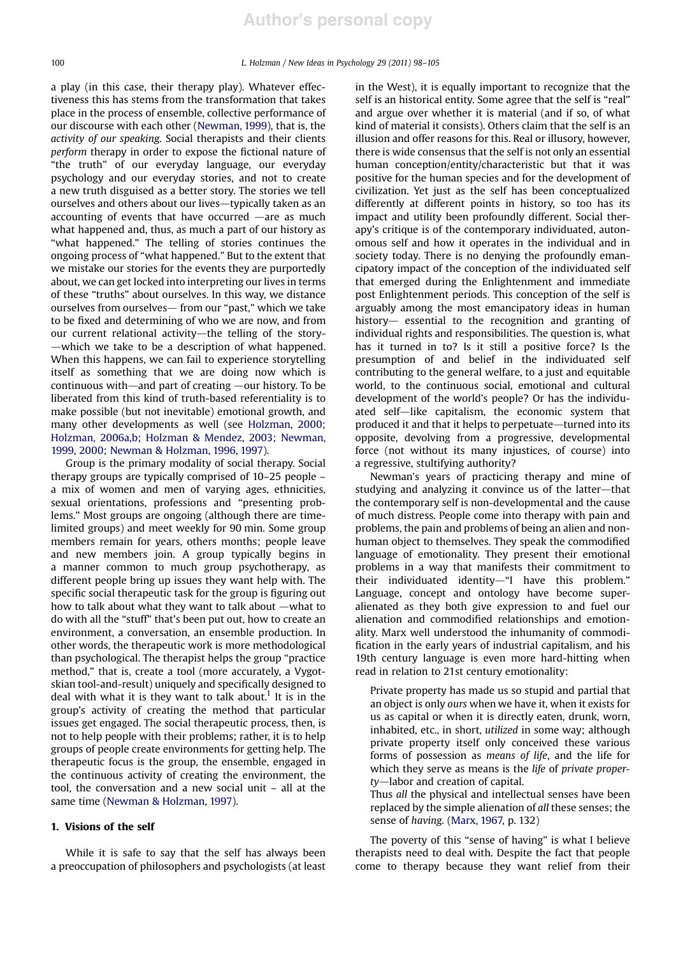a play (in this case, their therapy play). Whatever effectiveness this has stems from the transformation that takes place in the process of ensemble, collective performance of our discourse with each other (Newman, 1999), that is, the activity of our speaking. Social therapists and their clients perform therapy in order to expose the fictional nature of "the truth" of our everyday language, our everyday psychology and our everyday stories, and not to create a new truth disguised as a better story. The stories we tell ourselves and others about our lives-typically taken as an accounting of events that have occurred  $-$ are as much what happened and, thus, as much a part of our history as "what happened." The telling of stories continues the ongoing process of "what happened." But to the extent that we mistake our stories for the events they are purportedly about, we can get locked into interpreting our lives in terms of these "truths" about ourselves. In this way, we distance ourselves from ourselves— from our "past," which we take to be fixed and determining of who we are now, and from our current relational activity—the telling of the story--which we take to be a description of what happened. When this happens, we can fail to experience storytelling itself as something that we are doing now which is continuous with—and part of creating  $-$ our history. To be liberated from this kind of truth-based referentiality is to make possible (but not inevitable) emotional growth, and many other developments as well (see Holzman, 2000; Holzman, 2006a,b; Holzman & Mendez, 2003; Newman, 1999, 2000; Newman & Holzman, 1996, 1997).

Group is the primary modality of social therapy. Social therapy groups are typically comprised of 10–25 people – a mix of women and men of varying ages, ethnicities, sexual orientations, professions and "presenting problems." Most groups are ongoing (although there are timelimited groups) and meet weekly for 90 min. Some group members remain for years, others months; people leave and new members join. A group typically begins in a manner common to much group psychotherapy, as different people bring up issues they want help with. The specific social therapeutic task for the group is figuring out how to talk about what they want to talk about  $-\text{what}$  to do with all the "stuff" that's been put out, how to create an environment, a conversation, an ensemble production. In other words, the therapeutic work is more methodological than psychological. The therapist helps the group "practice method," that is, create a tool (more accurately, a Vygotskian tool-and-result) uniquely and specifically designed to deal with what it is they want to talk about.<sup>1</sup> It is in the group's activity of creating the method that particular issues get engaged. The social therapeutic process, then, is not to help people with their problems; rather, it is to help groups of people create environments for getting help. The therapeutic focus is the group, the ensemble, engaged in the continuous activity of creating the environment, the tool, the conversation and a new social unit – all at the same time (Newman & Holzman, 1997).

#### 1. Visions of the self

While it is safe to say that the self has always been a preoccupation of philosophers and psychologists (at least

in the West), it is equally important to recognize that the self is an historical entity. Some agree that the self is "real" and argue over whether it is material (and if so, of what kind of material it consists). Others claim that the self is an illusion and offer reasons for this. Real or illusory, however, there is wide consensus that the self is not only an essential human conception/entity/characteristic but that it was positive for the human species and for the development of civilization. Yet just as the self has been conceptualized differently at different points in history, so too has its impact and utility been profoundly different. Social therapy's critique is of the contemporary individuated, autonomous self and how it operates in the individual and in society today. There is no denying the profoundly emancipatory impact of the conception of the individuated self that emerged during the Enlightenment and immediate post Enlightenment periods. This conception of the self is arguably among the most emancipatory ideas in human history— essential to the recognition and granting of individual rights and responsibilities. The question is, what has it turned in to? Is it still a positive force? Is the presumption of and belief in the individuated self contributing to the general welfare, to a just and equitable world, to the continuous social, emotional and cultural development of the world's people? Or has the individuated self-like capitalism, the economic system that produced it and that it helps to perpetuate—turned into its opposite, devolving from a progressive, developmental force (not without its many injustices, of course) into a regressive, stultifying authority?

Newman's years of practicing therapy and mine of studying and analyzing it convince us of the latter-that the contemporary self is non-developmental and the cause of much distress. People come into therapy with pain and problems, the pain and problems of being an alien and nonhuman object to themselves. They speak the commodified language of emotionality. They present their emotional problems in a way that manifests their commitment to their individuated identity-"I have this problem." Language, concept and ontology have become superalienated as they both give expression to and fuel our alienation and commodified relationships and emotionality. Marx well understood the inhumanity of commodification in the early years of industrial capitalism, and his 19th century language is even more hard-hitting when read in relation to 21st century emotionality:

Private property has made us so stupid and partial that an object is only ours when we have it, when it exists for us as capital or when it is directly eaten, drunk, worn, inhabited, etc., in short, utilized in some way; although private property itself only conceived these various forms of possession as means of life, and the life for which they serve as means is the life of private proper $ty$ -labor and creation of capital.

Thus all the physical and intellectual senses have been replaced by the simple alienation of all these senses; the sense of having. (Marx, 1967, p. 132)

The poverty of this "sense of having" is what I believe therapists need to deal with. Despite the fact that people come to therapy because they want relief from their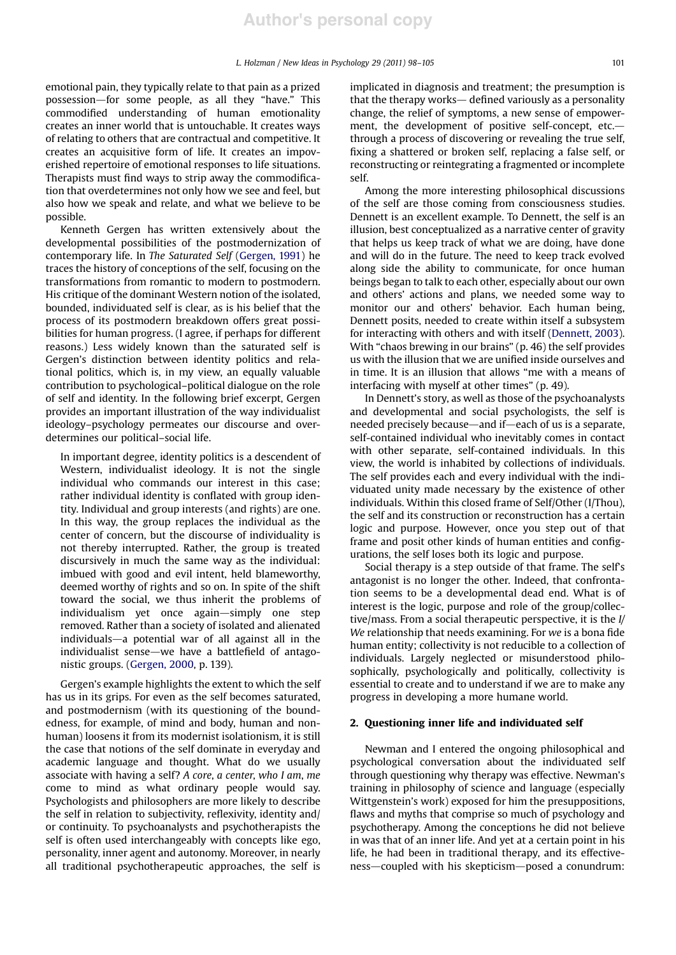emotional pain, they typically relate to that pain as a prized possession-for some people, as all they "have." This commodified understanding of human emotionality creates an inner world that is untouchable. It creates ways of relating to others that are contractual and competitive. It creates an acquisitive form of life. It creates an impoverished repertoire of emotional responses to life situations. Therapists must find ways to strip away the commodification that overdetermines not only how we see and feel, but also how we speak and relate, and what we believe to be possible.

Kenneth Gergen has written extensively about the developmental possibilities of the postmodernization of contemporary life. In The Saturated Self (Gergen, 1991) he traces the history of conceptions of the self, focusing on the transformations from romantic to modern to postmodern. His critique of the dominant Western notion of the isolated, bounded, individuated self is clear, as is his belief that the process of its postmodern breakdown offers great possibilities for human progress. (I agree, if perhaps for different reasons.) Less widely known than the saturated self is Gergen's distinction between identity politics and relational politics, which is, in my view, an equally valuable contribution to psychological–political dialogue on the role of self and identity. In the following brief excerpt, Gergen provides an important illustration of the way individualist ideology–psychology permeates our discourse and overdetermines our political–social life.

In important degree, identity politics is a descendent of Western, individualist ideology. It is not the single individual who commands our interest in this case; rather individual identity is conflated with group identity. Individual and group interests (and rights) are one. In this way, the group replaces the individual as the center of concern, but the discourse of individuality is not thereby interrupted. Rather, the group is treated discursively in much the same way as the individual: imbued with good and evil intent, held blameworthy, deemed worthy of rights and so on. In spite of the shift toward the social, we thus inherit the problems of individualism yet once again-simply one step removed. Rather than a society of isolated and alienated individuals-a potential war of all against all in the individualist sense—we have a battlefield of antagonistic groups. (Gergen, 2000, p. 139).

Gergen's example highlights the extent to which the self has us in its grips. For even as the self becomes saturated, and postmodernism (with its questioning of the boundedness, for example, of mind and body, human and nonhuman) loosens it from its modernist isolationism, it is still the case that notions of the self dominate in everyday and academic language and thought. What do we usually associate with having a self? A core, a center, who I am, me come to mind as what ordinary people would say. Psychologists and philosophers are more likely to describe the self in relation to subjectivity, reflexivity, identity and/ or continuity. To psychoanalysts and psychotherapists the self is often used interchangeably with concepts like ego, personality, inner agent and autonomy. Moreover, in nearly all traditional psychotherapeutic approaches, the self is

implicated in diagnosis and treatment; the presumption is that the therapy works— defined variously as a personality change, the relief of symptoms, a new sense of empowerment, the development of positive self-concept, etc. $$ through a process of discovering or revealing the true self, fixing a shattered or broken self, replacing a false self, or reconstructing or reintegrating a fragmented or incomplete self.

Among the more interesting philosophical discussions of the self are those coming from consciousness studies. Dennett is an excellent example. To Dennett, the self is an illusion, best conceptualized as a narrative center of gravity that helps us keep track of what we are doing, have done and will do in the future. The need to keep track evolved along side the ability to communicate, for once human beings began to talk to each other, especially about our own and others' actions and plans, we needed some way to monitor our and others' behavior. Each human being, Dennett posits, needed to create within itself a subsystem for interacting with others and with itself (Dennett, 2003). With "chaos brewing in our brains" (p. 46) the self provides us with the illusion that we are unified inside ourselves and in time. It is an illusion that allows "me with a means of interfacing with myself at other times" (p. 49).

In Dennett's story, as well as those of the psychoanalysts and developmental and social psychologists, the self is needed precisely because—and if—each of us is a separate, self-contained individual who inevitably comes in contact with other separate, self-contained individuals. In this view, the world is inhabited by collections of individuals. The self provides each and every individual with the individuated unity made necessary by the existence of other individuals. Within this closed frame of Self/Other (I/Thou), the self and its construction or reconstruction has a certain logic and purpose. However, once you step out of that frame and posit other kinds of human entities and configurations, the self loses both its logic and purpose.

Social therapy is a step outside of that frame. The self's antagonist is no longer the other. Indeed, that confrontation seems to be a developmental dead end. What is of interest is the logic, purpose and role of the group/collective/mass. From a social therapeutic perspective, it is the I/ We relationship that needs examining. For we is a bona fide human entity; collectivity is not reducible to a collection of individuals. Largely neglected or misunderstood philosophically, psychologically and politically, collectivity is essential to create and to understand if we are to make any progress in developing a more humane world.

#### 2. Questioning inner life and individuated self

Newman and I entered the ongoing philosophical and psychological conversation about the individuated self through questioning why therapy was effective. Newman's training in philosophy of science and language (especially Wittgenstein's work) exposed for him the presuppositions, flaws and myths that comprise so much of psychology and psychotherapy. Among the conceptions he did not believe in was that of an inner life. And yet at a certain point in his life, he had been in traditional therapy, and its effectiveness-coupled with his skepticism-posed a conundrum: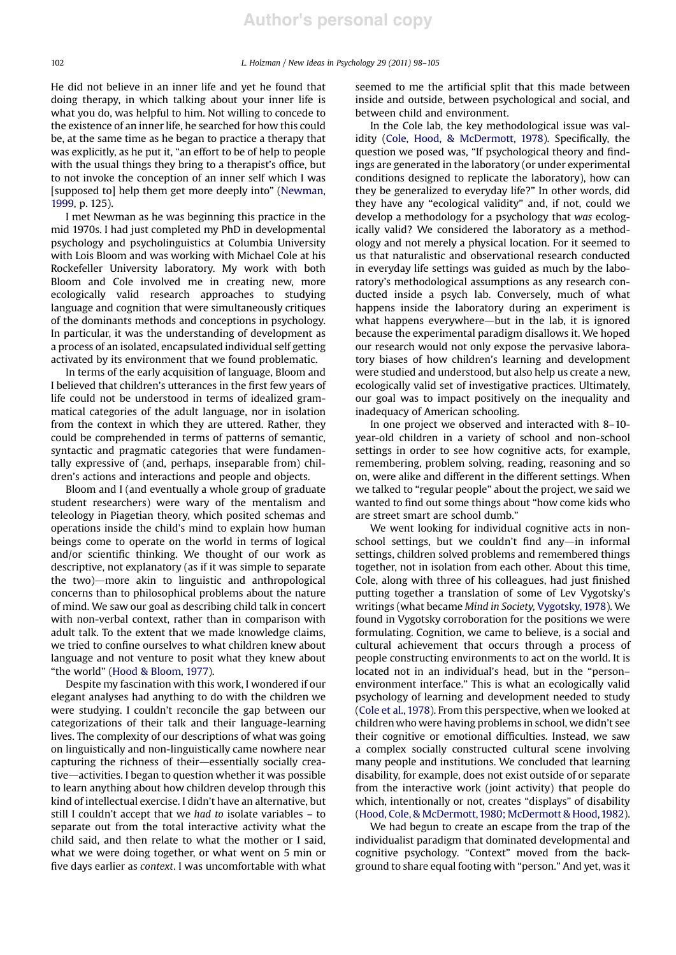He did not believe in an inner life and yet he found that doing therapy, in which talking about your inner life is what you do, was helpful to him. Not willing to concede to the existence of an inner life, he searched for how this could be, at the same time as he began to practice a therapy that was explicitly, as he put it, "an effort to be of help to people with the usual things they bring to a therapist's office, but to not invoke the conception of an inner self which I was [supposed to] help them get more deeply into" (Newman, 1999, p. 125).

I met Newman as he was beginning this practice in the mid 1970s. I had just completed my PhD in developmental psychology and psycholinguistics at Columbia University with Lois Bloom and was working with Michael Cole at his Rockefeller University laboratory. My work with both Bloom and Cole involved me in creating new, more ecologically valid research approaches to studying language and cognition that were simultaneously critiques of the dominants methods and conceptions in psychology. In particular, it was the understanding of development as a process of an isolated, encapsulated individual self getting activated by its environment that we found problematic.

In terms of the early acquisition of language, Bloom and I believed that children's utterances in the first few years of life could not be understood in terms of idealized grammatical categories of the adult language, nor in isolation from the context in which they are uttered. Rather, they could be comprehended in terms of patterns of semantic, syntactic and pragmatic categories that were fundamentally expressive of (and, perhaps, inseparable from) children's actions and interactions and people and objects.

Bloom and I (and eventually a whole group of graduate student researchers) were wary of the mentalism and teleology in Piagetian theory, which posited schemas and operations inside the child's mind to explain how human beings come to operate on the world in terms of logical and/or scientific thinking. We thought of our work as descriptive, not explanatory (as if it was simple to separate the two)—more akin to linguistic and anthropological concerns than to philosophical problems about the nature of mind. We saw our goal as describing child talk in concert with non-verbal context, rather than in comparison with adult talk. To the extent that we made knowledge claims, we tried to confine ourselves to what children knew about language and not venture to posit what they knew about "the world" (Hood & Bloom, 1977).

Despite my fascination with this work, I wondered if our elegant analyses had anything to do with the children we were studying. I couldn't reconcile the gap between our categorizations of their talk and their language-learning lives. The complexity of our descriptions of what was going on linguistically and non-linguistically came nowhere near capturing the richness of their-essentially socially creative—activities. I began to question whether it was possible to learn anything about how children develop through this kind of intellectual exercise. I didn't have an alternative, but still I couldn't accept that we had to isolate variables – to separate out from the total interactive activity what the child said, and then relate to what the mother or I said, what we were doing together, or what went on 5 min or five days earlier as context. I was uncomfortable with what seemed to me the artificial split that this made between inside and outside, between psychological and social, and between child and environment.

In the Cole lab, the key methodological issue was validity (Cole, Hood, & McDermott, 1978). Specifically, the question we posed was, "If psychological theory and findings are generated in the laboratory (or under experimental conditions designed to replicate the laboratory), how can they be generalized to everyday life?" In other words, did they have any "ecological validity" and, if not, could we develop a methodology for a psychology that was ecologically valid? We considered the laboratory as a methodology and not merely a physical location. For it seemed to us that naturalistic and observational research conducted in everyday life settings was guided as much by the laboratory's methodological assumptions as any research conducted inside a psych lab. Conversely, much of what happens inside the laboratory during an experiment is what happens everywhere—but in the lab, it is ignored because the experimental paradigm disallows it. We hoped our research would not only expose the pervasive laboratory biases of how children's learning and development were studied and understood, but also help us create a new, ecologically valid set of investigative practices. Ultimately, our goal was to impact positively on the inequality and inadequacy of American schooling.

In one project we observed and interacted with 8–10 year-old children in a variety of school and non-school settings in order to see how cognitive acts, for example, remembering, problem solving, reading, reasoning and so on, were alike and different in the different settings. When we talked to "regular people" about the project, we said we wanted to find out some things about "how come kids who are street smart are school dumb."

We went looking for individual cognitive acts in nonschool settings, but we couldn't find any-in informal settings, children solved problems and remembered things together, not in isolation from each other. About this time, Cole, along with three of his colleagues, had just finished putting together a translation of some of Lev Vygotsky's writings (what became Mind in Society, Vygotsky, 1978). We found in Vygotsky corroboration for the positions we were formulating. Cognition, we came to believe, is a social and cultural achievement that occurs through a process of people constructing environments to act on the world. It is located not in an individual's head, but in the "person– environment interface." This is what an ecologically valid psychology of learning and development needed to study (Cole et al., 1978). From this perspective, when we looked at children who were having problems in school, we didn't see their cognitive or emotional difficulties. Instead, we saw a complex socially constructed cultural scene involving many people and institutions. We concluded that learning disability, for example, does not exist outside of or separate from the interactive work (joint activity) that people do which, intentionally or not, creates "displays" of disability (Hood, Cole, & McDermott,1980; McDermott & Hood,1982).

We had begun to create an escape from the trap of the individualist paradigm that dominated developmental and cognitive psychology. "Context" moved from the background to share equal footing with "person." And yet, was it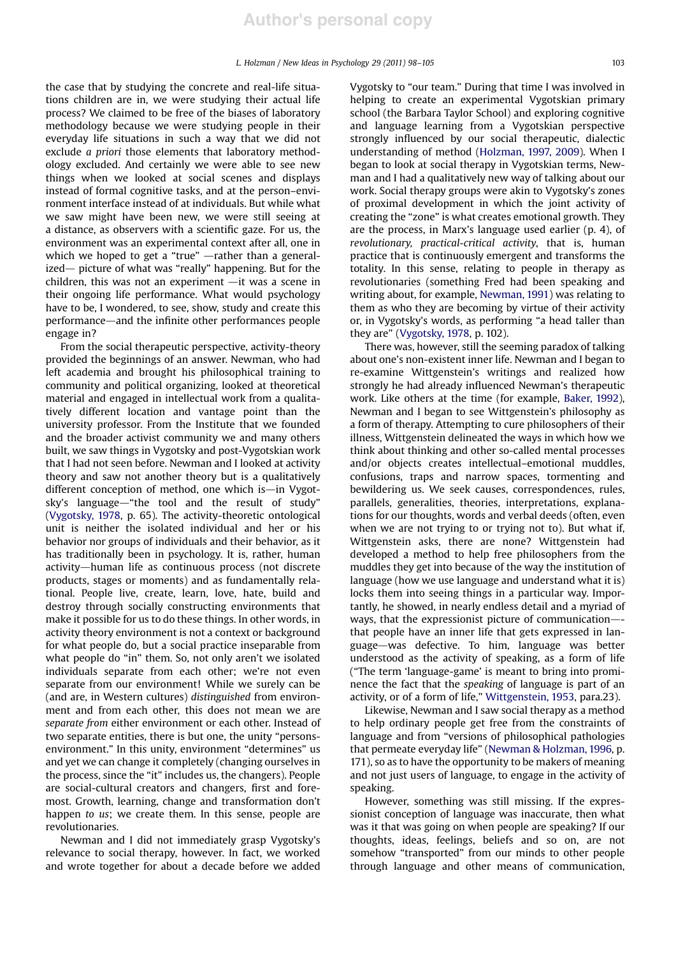the case that by studying the concrete and real-life situations children are in, we were studying their actual life process? We claimed to be free of the biases of laboratory methodology because we were studying people in their everyday life situations in such a way that we did not exclude a priori those elements that laboratory methodology excluded. And certainly we were able to see new things when we looked at social scenes and displays instead of formal cognitive tasks, and at the person–environment interface instead of at individuals. But while what we saw might have been new, we were still seeing at a distance, as observers with a scientific gaze. For us, the environment was an experimental context after all, one in which we hoped to get a "true"  $-$ rather than a generalized— picture of what was "really" happening. But for the children, this was not an experiment  $-it$  was a scene in their ongoing life performance. What would psychology have to be, I wondered, to see, show, study and create this performance—and the infinite other performances people engage in?

From the social therapeutic perspective, activity-theory provided the beginnings of an answer. Newman, who had left academia and brought his philosophical training to community and political organizing, looked at theoretical material and engaged in intellectual work from a qualitatively different location and vantage point than the university professor. From the Institute that we founded and the broader activist community we and many others built, we saw things in Vygotsky and post-Vygotskian work that I had not seen before. Newman and I looked at activity theory and saw not another theory but is a qualitatively different conception of method, one which is-in Vygotsky's language-"the tool and the result of study" (Vygotsky, 1978, p. 65). The activity-theoretic ontological unit is neither the isolated individual and her or his behavior nor groups of individuals and their behavior, as it has traditionally been in psychology. It is, rather, human activity-human life as continuous process (not discrete products, stages or moments) and as fundamentally relational. People live, create, learn, love, hate, build and destroy through socially constructing environments that make it possible for us to do these things. In other words, in activity theory environment is not a context or background for what people do, but a social practice inseparable from what people do "in" them. So, not only aren't we isolated individuals separate from each other; we're not even separate from our environment! While we surely can be (and are, in Western cultures) distinguished from environment and from each other, this does not mean we are separate from either environment or each other. Instead of two separate entities, there is but one, the unity "personsenvironment." In this unity, environment "determines" us and yet we can change it completely (changing ourselves in the process, since the "it" includes us, the changers). People are social-cultural creators and changers, first and foremost. Growth, learning, change and transformation don't happen to us; we create them. In this sense, people are revolutionaries.

Newman and I did not immediately grasp Vygotsky's relevance to social therapy, however. In fact, we worked and wrote together for about a decade before we added

Vygotsky to "our team." During that time I was involved in helping to create an experimental Vygotskian primary school (the Barbara Taylor School) and exploring cognitive and language learning from a Vygotskian perspective strongly influenced by our social therapeutic, dialectic understanding of method (Holzman, 1997, 2009). When I began to look at social therapy in Vygotskian terms, Newman and I had a qualitatively new way of talking about our work. Social therapy groups were akin to Vygotsky's zones of proximal development in which the joint activity of creating the "zone" is what creates emotional growth. They are the process, in Marx's language used earlier (p. 4), of revolutionary, practical-critical activity, that is, human practice that is continuously emergent and transforms the totality. In this sense, relating to people in therapy as revolutionaries (something Fred had been speaking and writing about, for example, Newman, 1991) was relating to them as who they are becoming by virtue of their activity or, in Vygotsky's words, as performing "a head taller than they are" (Vygotsky, 1978, p. 102).

There was, however, still the seeming paradox of talking about one's non-existent inner life. Newman and I began to re-examine Wittgenstein's writings and realized how strongly he had already influenced Newman's therapeutic work. Like others at the time (for example, Baker, 1992), Newman and I began to see Wittgenstein's philosophy as a form of therapy. Attempting to cure philosophers of their illness, Wittgenstein delineated the ways in which how we think about thinking and other so-called mental processes and/or objects creates intellectual–emotional muddles, confusions, traps and narrow spaces, tormenting and bewildering us. We seek causes, correspondences, rules, parallels, generalities, theories, interpretations, explanations for our thoughts, words and verbal deeds (often, even when we are not trying to or trying not to). But what if, Wittgenstein asks, there are none? Wittgenstein had developed a method to help free philosophers from the muddles they get into because of the way the institution of language (how we use language and understand what it is) locks them into seeing things in a particular way. Importantly, he showed, in nearly endless detail and a myriad of ways, that the expressionist picture of communication--that people have an inner life that gets expressed in language—was defective. To him, language was better understood as the activity of speaking, as a form of life ("The term 'language-game' is meant to bring into prominence the fact that the speaking of language is part of an activity, or of a form of life," Wittgenstein, 1953, para.23).

Likewise, Newman and I saw social therapy as a method to help ordinary people get free from the constraints of language and from "versions of philosophical pathologies that permeate everyday life" (Newman & Holzman, 1996, p. 171), so as to have the opportunity to be makers of meaning and not just users of language, to engage in the activity of speaking.

However, something was still missing. If the expressionist conception of language was inaccurate, then what was it that was going on when people are speaking? If our thoughts, ideas, feelings, beliefs and so on, are not somehow "transported" from our minds to other people through language and other means of communication,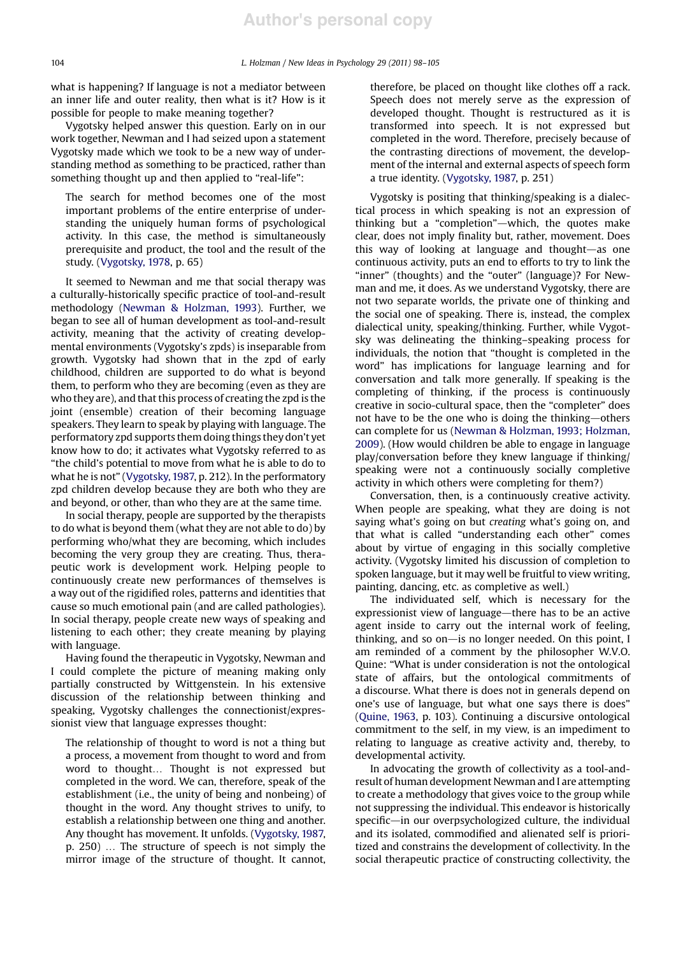what is happening? If language is not a mediator between an inner life and outer reality, then what is it? How is it possible for people to make meaning together?

Vygotsky helped answer this question. Early on in our work together, Newman and I had seized upon a statement Vygotsky made which we took to be a new way of understanding method as something to be practiced, rather than something thought up and then applied to "real-life":

The search for method becomes one of the most important problems of the entire enterprise of understanding the uniquely human forms of psychological activity. In this case, the method is simultaneously prerequisite and product, the tool and the result of the study. (Vygotsky, 1978, p. 65)

It seemed to Newman and me that social therapy was a culturally-historically specific practice of tool-and-result methodology (Newman & Holzman, 1993). Further, we began to see all of human development as tool-and-result activity, meaning that the activity of creating developmental environments (Vygotsky's zpds) is inseparable from growth. Vygotsky had shown that in the zpd of early childhood, children are supported to do what is beyond them, to perform who they are becoming (even as they are who they are), and that this process of creating the zpd is the joint (ensemble) creation of their becoming language speakers. They learn to speak by playing with language. The performatory zpd supports them doing things they don't yet know how to do; it activates what Vygotsky referred to as "the child's potential to move from what he is able to do to what he is not" (Vygotsky, 1987, p. 212). In the performatory zpd children develop because they are both who they are and beyond, or other, than who they are at the same time.

In social therapy, people are supported by the therapists to do what is beyond them (what they are not able to do) by performing who/what they are becoming, which includes becoming the very group they are creating. Thus, therapeutic work is development work. Helping people to continuously create new performances of themselves is a way out of the rigidified roles, patterns and identities that cause so much emotional pain (and are called pathologies). In social therapy, people create new ways of speaking and listening to each other; they create meaning by playing with language.

Having found the therapeutic in Vygotsky, Newman and I could complete the picture of meaning making only partially constructed by Wittgenstein. In his extensive discussion of the relationship between thinking and speaking, Vygotsky challenges the connectionist/expressionist view that language expresses thought:

The relationship of thought to word is not a thing but a process, a movement from thought to word and from word to thought... Thought is not expressed but completed in the word. We can, therefore, speak of the establishment (i.e., the unity of being and nonbeing) of thought in the word. Any thought strives to unify, to establish a relationship between one thing and another. Any thought has movement. It unfolds. (Vygotsky, 1987, p. 250) ... The structure of speech is not simply the mirror image of the structure of thought. It cannot, therefore, be placed on thought like clothes off a rack. Speech does not merely serve as the expression of developed thought. Thought is restructured as it is transformed into speech. It is not expressed but completed in the word. Therefore, precisely because of the contrasting directions of movement, the development of the internal and external aspects of speech form a true identity. (Vygotsky, 1987, p. 251)

Vygotsky is positing that thinking/speaking is a dialectical process in which speaking is not an expression of thinking but a "completion"-which, the quotes make clear, does not imply finality but, rather, movement. Does this way of looking at language and thought $-\text{as}$  one continuous activity, puts an end to efforts to try to link the "inner" (thoughts) and the "outer" (language)? For Newman and me, it does. As we understand Vygotsky, there are not two separate worlds, the private one of thinking and the social one of speaking. There is, instead, the complex dialectical unity, speaking/thinking. Further, while Vygotsky was delineating the thinking–speaking process for individuals, the notion that "thought is completed in the word" has implications for language learning and for conversation and talk more generally. If speaking is the completing of thinking, if the process is continuously creative in socio-cultural space, then the "completer" does not have to be the one who is doing the thinking-others can complete for us (Newman & Holzman, 1993; Holzman, 2009). (How would children be able to engage in language play/conversation before they knew language if thinking/ speaking were not a continuously socially completive activity in which others were completing for them?)

Conversation, then, is a continuously creative activity. When people are speaking, what they are doing is not saying what's going on but creating what's going on, and that what is called "understanding each other" comes about by virtue of engaging in this socially completive activity. (Vygotsky limited his discussion of completion to spoken language, but it may well be fruitful to view writing, painting, dancing, etc. as completive as well.)

The individuated self, which is necessary for the expressionist view of language—there has to be an active agent inside to carry out the internal work of feeling, thinking, and so on-is no longer needed. On this point, I am reminded of a comment by the philosopher W.V.O. Quine: "What is under consideration is not the ontological state of affairs, but the ontological commitments of a discourse. What there is does not in generals depend on one's use of language, but what one says there is does" (Quine, 1963, p. 103). Continuing a discursive ontological commitment to the self, in my view, is an impediment to relating to language as creative activity and, thereby, to developmental activity.

In advocating the growth of collectivity as a tool-andresult of human development Newman and I are attempting to create a methodology that gives voice to the group while not suppressing the individual. This endeavor is historically specific—in our overpsychologized culture, the individual and its isolated, commodified and alienated self is prioritized and constrains the development of collectivity. In the social therapeutic practice of constructing collectivity, the